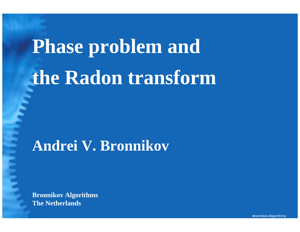# **Phase problem and the Radon transform**

### **Andrei V. Bronnikov**

**Bronnikov Algorithms The Netherlands**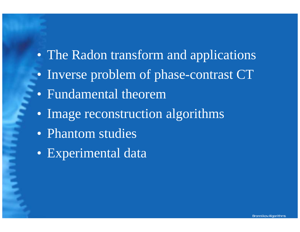- The Radon transform and applications
- Inverse problem of phase-contrast CT
- Fundamental theorem
- Image reconstruction algorithms
- Phantom studies
- Experimental data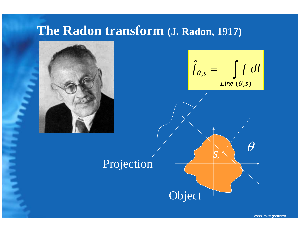#### **The Radon transform (J. Radon, 1917)**

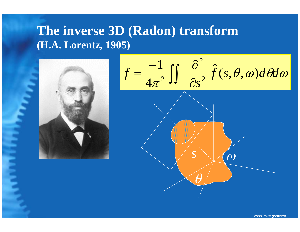#### **The inverse 3D (Radon) transform (H.A. Lorentz, 1905)**



$$
f = \frac{-1}{4\pi^2} \iint \frac{\partial^2}{\partial s^2} \hat{f}(s, \theta, \omega) d\theta d\omega
$$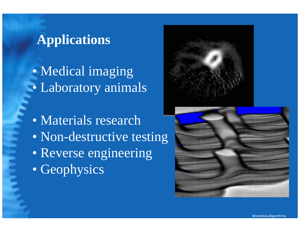#### **Applications**

 $\bullet$  Medical imaging  $\bullet$ Laboratory animals

 $\bullet$  Materials research  $\bullet$ • Non-destructive testing  $\bullet$  Reverse engineering  $\bullet$ • Geophysics



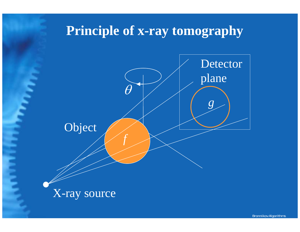#### **Principle of x-ray tomography**

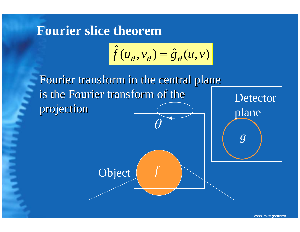#### **Fourier slice theorem**

$$
\hat{f}(u_{\theta}, v_{\theta}) = \hat{g}_{\theta}(u, v)
$$

Fourier transform in the central plane is the Fourier transform of the projection projection **Detector** plane Object *f* θ*g*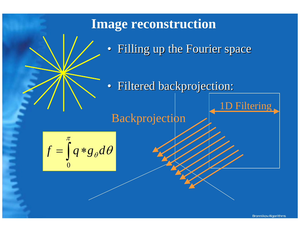# **Filtering** Backprojection **Image reconstruction**  • Filling up the Fourier space • Filtered backprojection:

 $\partial_{\theta}d\theta$  $f = \int q * g_{\theta} d$ 0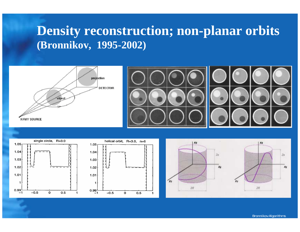#### **Density reconstruction; non-planar orbits (Bronnikov, 1995-2002)**







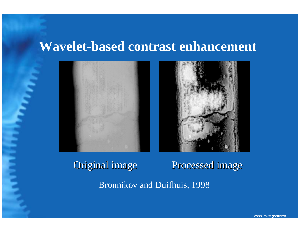#### **Wavelet-based contrast enhancement**



#### Original image Processed image

Bronnikov and Duifhuis, 1998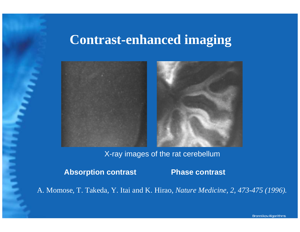#### **Contrast-enhanced imaging**



X-ray images of the rat cerebellum

**Absorption contrast Phase contrast**

A. Momose, T. Tak eda, Y. Itai and K. Hirao, *Nature Medicine, 2, 473-475 (1996).*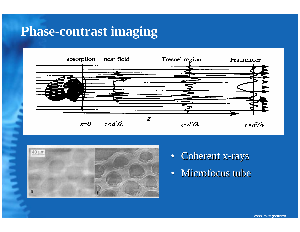#### **Phase-contrast imaging**





- Coherent x-rays
- Microfocus tube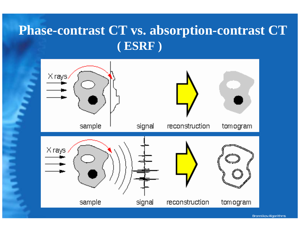#### **Phase-contrast CT vs. absorption-contrast CT ( ESRF )**

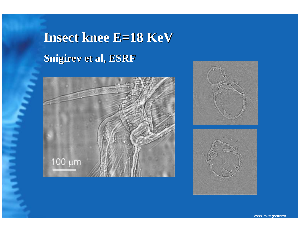## **Insect knee E=18 KeV Insect knee E=18 KeV Snigirev et al, ESRF Snigirev et al, ESRF**





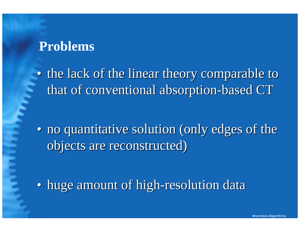#### **Problems**

• the lack of the linear theory comparable to that of conventional absorption-based CT

• no quantitative solution (only edges of the objects are reconstructed)

• huge amount of high-resolution data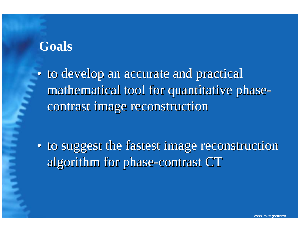#### **Goals**

• to develop an accurate and practical mathematical tool for quantitative phasecontrast image reconstruction

• to suggest the fastest image reconstruction algorithm for phase-contrast CT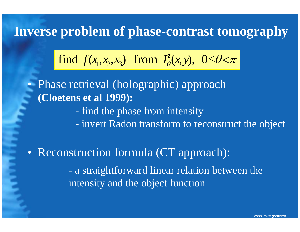#### **Inverse problem of phase-contrast tomography**

find 
$$
f(x_1, x_2, x_3)
$$
 from  $I^z_\theta(x, y)$ ,  $0 \le \theta < \pi$ 

• Phase retrieval (holographic) approach **(Cloetens et al 1999):**

- find the phase from intensity

- invert Radon transform to reconstruct the object

• Reconstruction formula (CT approach): - a straightforward linear relation between the intensity and the object function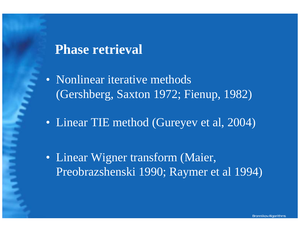#### **Phase retrieval**

• Nonlinear iterative methods (Gershberg, Saxton 1972; Fienup, 1982)

• Linear TIE method (Gureyev et al, 2004)

• Linear Wigner transform (Maier, Preobrazshenski 1990; Raymer et al 1994)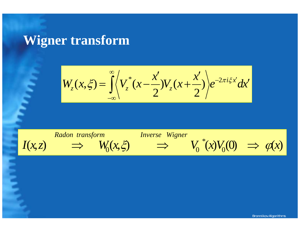#### **Wigner transform**

$$
W_z(x,\xi) = \int_{-\infty}^{\infty} \left\langle V_z^*(x - \frac{x'}{2}) V_z(x + \frac{x'}{2}) \right\rangle e^{-2\pi i \xi x'} dx'
$$

 $I(x,z)$  $W_0(x,\xi)$  $\varphi(x)V_0(0) \Rightarrow \varphi(x)$ \*  $\rm 0$  $V_0^{\mathsf{r}}(x)V_0(0) \Rightarrow \varphi(x)$ *Radontransformation Inverse Wigner* ⇒ ⇒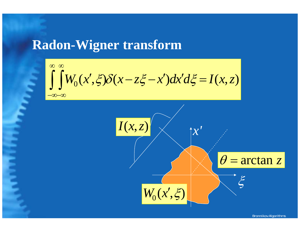#### **Radon-Wigner transform**

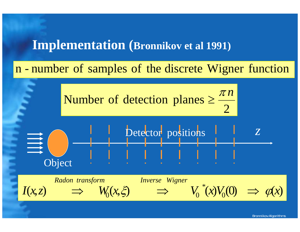#### **Implementation (Bronnikov et al 1991)**

n number of samples of the discrete Wigner function

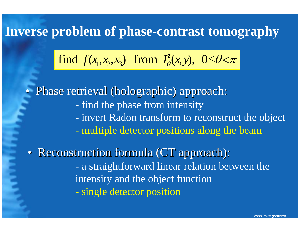#### **Inverse problem of phase-contrast tomography**

find 
$$
f(x_1, x_2, x_3)
$$
 from  $I^z_\theta(x, y)$ ,  $0 \le \theta < \pi$ 

- find the phase from intensity - invert Radon transform to reconstruct the object - multiple detector positions along the beam  $\bullet$  Phase retrieval (holographic) approach: Phase retrieval (holographic) approach: - a straightforward linear relation between the intensity and the object function - single detector position • Reconstruction formula (CT approach):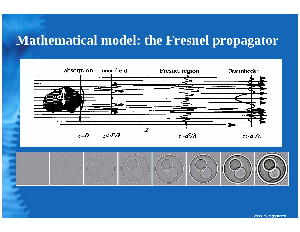#### **Mathematical model: the Fresnel propagator**



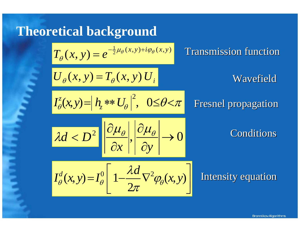### **Theoretical background**

$$
T_{\theta}(x, y) = e^{-\frac{1}{2}\mu_{\theta}(x, y) + i\varphi_{\theta}(x, y)}
$$
 Transmission function  
\n
$$
U_{\theta}(x, y) = T_{\theta}(x, y) U_{i}
$$
 Wavefield  
\n
$$
I_{\theta}^{z}(x, y) = |h_{z} * U_{\theta}|^{2}, \quad 0 \leq \theta < \pi
$$
 Fresnel propagation  
\n
$$
\lambda d < D^{2} \left| \frac{\partial \mu_{\theta}}{\partial x} \right|, \quad \frac{\partial \mu_{\theta}}{\partial y} \rightarrow 0
$$
 Conditions  
\n
$$
I_{\theta}^{d}(x, y) = I_{\theta}^{0} \left[ 1 - \frac{\lambda d}{2\pi} \nabla^{2} \varphi_{\theta}(x, y) \right]
$$
Intensity equation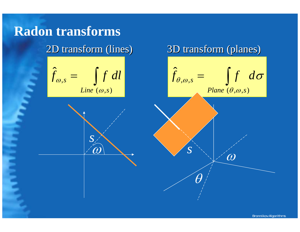### **Radon transforms**

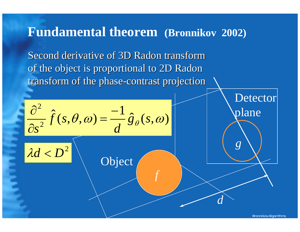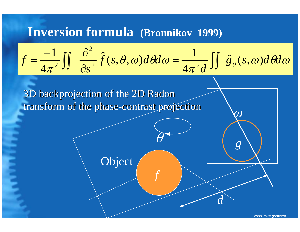#### **Inversion formula (Bronnikov 1999)**

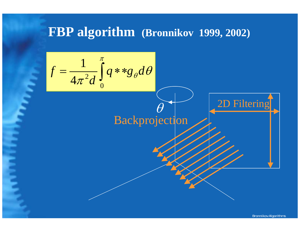#### **FBP algorithm (Bronnikov 1999, 2002)**

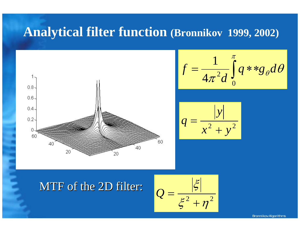#### **Analytical filter function (Bronnikov 1999, 2002)**



$$
f = \frac{1}{4\pi^2 d} \int_0^{\pi} q * * g_{\theta} d\theta
$$



#### MTF of the 2D filter:

$$
Q = \frac{|\xi|}{\xi^2 + \eta^2}
$$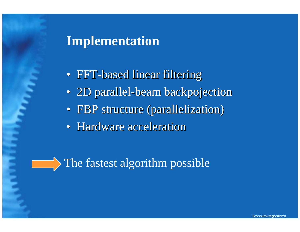#### **Implementation**

- FFT-based linear filtering
- 2D parallel-beam backpojection
- FBP structure (parallelization)
- Hardware acceleration

#### The fastest algorithm possible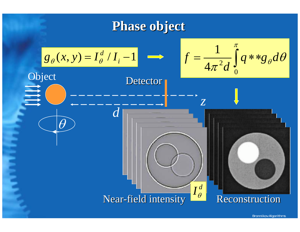#### **Phase object Phase object**

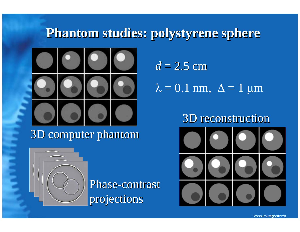#### **Phantom studies: polystyrene sphere Phantom studies: polystyrene sphere**



3D computer phantom 3D computer phantom



Phase-contrast projections

 $d = 2.5$  cm

 $\lambda=0.1$  nm,  $\Delta=1$  μm

#### 3D reconstruction 3D reconstruction

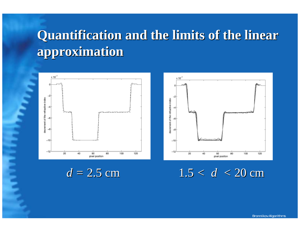### **Quantification and the limits of the linear Quantification and the limits of the linear approximation approximation**





 $d = 2.5$  cm  $1.5 < d < 20$  cm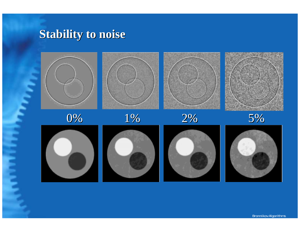#### **Stability to noise Stability to noise**

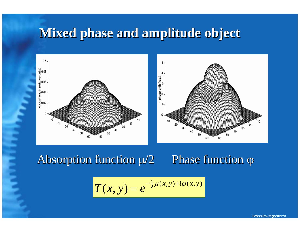#### **Mixed phase and amplitude object Mixed phase and amplitude object**



#### Absorption function  $\mu/2$  $\mu/2$  Phase function  $\varphi$

$$
T(x, y) = e^{-\frac{1}{2}\mu(x, y) + i\varphi(x, y)}
$$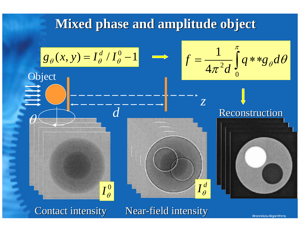#### **Mixed phase and amplitude object Mixed phase and amplitude object**

$$
g_{\theta}(x, y) = I_{\theta}^{d} / I_{\theta}^{0} - 1
$$
\nObject

 $\rm 0$  $I_{\theta}^{\text{\tiny U}}$  *d*

$$
f = \frac{1}{4\pi^2 d} \int_0^{\pi} q * * g_{\theta} d\theta
$$

#### **Reconstruction**



 $\theta$ 

Contact intensity Near-field intensity

 $I_{\theta}^{\,d}$ 

*z*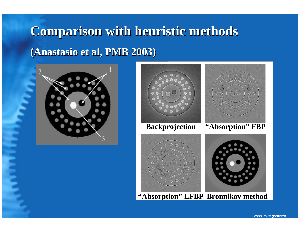## **Comparison with heuristic methods Comparison with heuristic methods (Anastasio (Anastasio et al, PMB 2003) et al, PMB 2003)**





**"Absorption" LFBP Bronnikov method**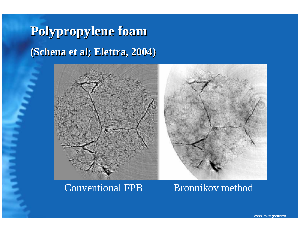**Polypropylene foam Polypropylene foam**  $(Schena et al; Elettra, 2004)$ 



Conventional FPB Bronnikov method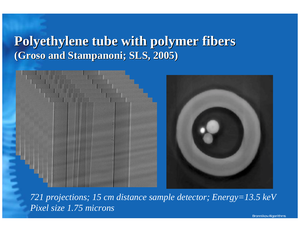#### **Polyethylene tube with polymer fibers Polyethylene tube with polymer fibers (Groso and Stampanoni; SLS, 2005)**



*721 projections; 15 cm distance sample detector; Energy=13.5 keV Pixel size 1.75 microns*